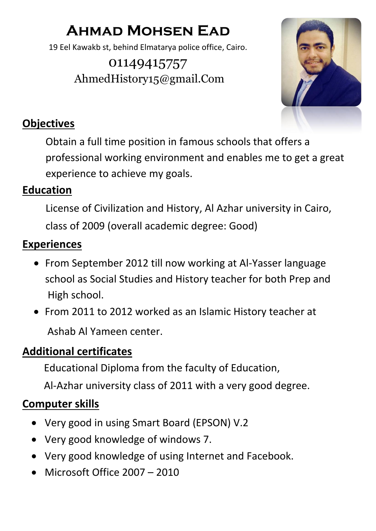# **Ahmad Mohsen Ead**

19 Eel Kawakb st, behind Elmatarya police office, Cairo.

01149415757 AhmedHistory15@gmail.Com



## **Objectives**

 Obtain a full time position in famous schools that offers a professional working environment and enables me to get a great experience to achieve my goals.

### **Education**

 License of Civilization and History, Al Azhar university in Cairo, class of 2009 (overall academic degree: Good)

## **Experiences**

- From September 2012 till now working at Al-Yasser language school as Social Studies and History teacher for both Prep and High school.
- From 2011 to 2012 worked as an Islamic History teacher at Ashab Al Yameen center.

# **Additional certificates**

Educational Diploma from the faculty of Education,

Al-Azhar university class of 2011 with a very good degree.

### **Computer skills**

- Very good in using Smart Board (EPSON) V.2
- Very good knowledge of windows 7.
- Very good knowledge of using Internet and Facebook.
- Microsoft Office 2007 2010